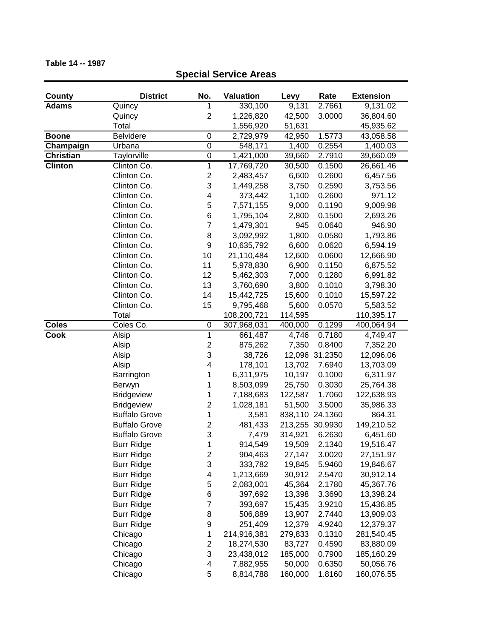## **County District No. Valuation Levy Rate Extension Adams** Quincy 1 330,100 9,131 2.7661 9,131.02 Quincy 2 1,226,820 42,500 3.0000 36,804.60 Total 1,556,920 51,631 45,935.62 **Boone** Belvidere 0 2,729,979 42,950 1.5773 43,058.58 **Champaign** Urbana 0 548,171 1,400 0.2554 1,400.03 **Christian** Taylorville 0 1,421,000 39,660 2.7910 39,660.09 **Clinton** Clinton Co. 1 17,769,720 30,500 0.1500 26,661.46 Clinton Co. 2 2,483,457 6,600 0.2600 6,457.56 Clinton Co. 3 1,449,258 3,750 0.2590 3,753.56 Clinton Co. 4 373,442 1,100 0.2600 971.12 Clinton Co. 5 7,571,155 9,000 0.1190 9,009.98 Clinton Co. 6 1,795,104 2,800 0.1500 2,693.26 Clinton Co. 7 1,479,301 945 0.0640 946.90 Clinton Co. 8 3,092,992 1,800 0.0580 1,793.86 Clinton Co. 9 10,635,792 6,600 0.0620 6,594.19 Clinton Co. 10 21,110,484 12,600 0.0600 12,666.90 Clinton Co. 11 5,978,830 6,900 0.1150 6,875.52 Clinton Co. 12 5,462,303 7,000 0.1280 6,991.82 Clinton Co. 13 3,760,690 3,800 0.1010 3,798.30 Clinton Co. 14 15,442,725 15,600 0.1010 15,597.22 Clinton Co. 15 9,795,468 5,600 0.0570 5,583.52 Total 108,200,721 114,595 110,395.17 **Coles** Coles Co. 0 307,968,031 400,000 0.1299 400,064.94 **Cook** Alsip 1 661,487 4,746 0.7180 4,749.47 Alsip 2 875,262 7,350 0.8400 7,352.20 Alsip 3 38,726 12,096 31.2350 12,096.06 Alsip 4 178,101 13,702 7.6940 13,703.09 Barrington 1 6,311,975 10,197 0.1000 6,311.97 Berwyn 1 8,503,099 25,750 0.3030 25,764.38 Bridgeview 1 7,188,683 122,587 1.7060 122,638.93 Bridgeview 2 1,028,181 51,500 3.5000 35,986.33 Buffalo Grove  $\begin{array}{cccc} 1 & 3,581 & 838,110 & 24.1360 & 864.31 \end{array}$ Buffalo Grove 2 481,433 213,255 30.9930 149,210.52 Buffalo Grove 3 7,479 314,921 6.2630 6,451.60 Burr Ridge 1 1 914,549 19,509 2.1340 19,516.47 Burr Ridge 2 904,463 27,147 3.0020 27,151.97 Burr Ridge 3 333,782 19,845 5.9460 19,846.67 Burr Ridge 4 1,213,669 30,912 2.5470 30,912.14 Burr Ridge 5 2,083,001 45,364 2.1780 45,367.76 Burr Ridge 6 397,692 13,398 3.3690 13,398.24 Burr Ridge 7 393,697 15,435 3.9210 15,436.85 Burr Ridge 8 506,889 13,907 2.7440 13,909.03 Burr Ridge 9 251,409 12,379 4.9240 12,379.37 Chicago 1 214,916,381 279,833 0.1310 281,540.45 Chicago 2 18,274,530 83,727 0.4590 83,880.09 Chicago 3 23,438,012 185,000 0.7900 185,160.29 Chicago 4 7,882,955 50,000 0.6350 50,056.76

Chicago 5 8,814,788 160,000 1.8160 160,076.55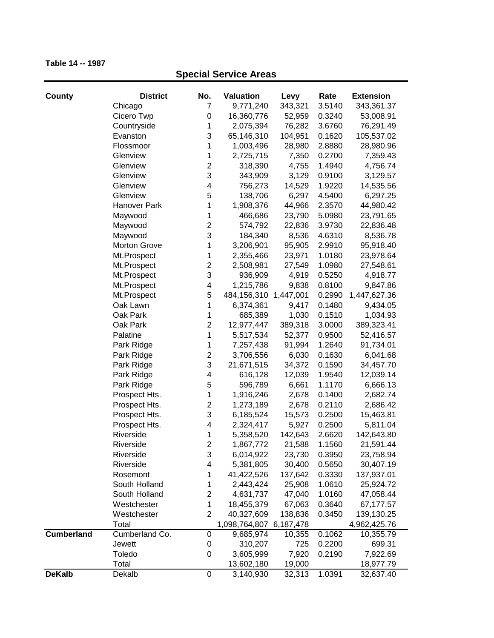| County            | <b>District</b>     | No.              | Valuation               | Levy      | Rate   | <b>Extension</b> |
|-------------------|---------------------|------------------|-------------------------|-----------|--------|------------------|
|                   | Chicago             | 7                | 9,771,240               | 343,321   | 3.5140 | 343,361.37       |
|                   | Cicero Twp          | 0                | 16,360,776              | 52,959    | 0.3240 | 53,008.91        |
|                   | Countryside         | 1                | 2,075,394               | 76,282    | 3.6760 | 76,291.49        |
|                   | Evanston            | 3                | 65,146,310              | 104,951   | 0.1620 | 105,537.02       |
|                   | Flossmoor           | 1                | 1,003,496               | 28,980    | 2.8880 | 28,980.96        |
|                   | Glenview            | 1                | 2,725,715               | 7,350     | 0.2700 | 7,359.43         |
|                   | Glenview            | $\overline{c}$   | 318,390                 | 4,755     | 1.4940 | 4,756.74         |
|                   | Glenview            | 3                | 343,909                 | 3,129     | 0.9100 | 3,129.57         |
|                   | Glenview            | 4                | 756,273                 | 14,529    | 1.9220 | 14,535.56        |
|                   | Glenview            | 5                | 138,706                 | 6,297     | 4.5400 | 6,297.25         |
|                   | Hanover Park        | 1                | 1,908,376               | 44,966    | 2.3570 | 44,980.42        |
|                   | Maywood             | 1                | 466,686                 | 23,790    | 5.0980 | 23,791.65        |
|                   | Maywood             | $\overline{c}$   | 574,792                 | 22,836    | 3.9730 | 22,836.48        |
|                   | Maywood             | 3                | 184,340                 | 8,536     | 4.6310 | 8,536.78         |
|                   | <b>Morton Grove</b> | 1                | 3,206,901               | 95,905    | 2.9910 | 95,918.40        |
|                   | Mt.Prospect         | 1                | 2,355,466               | 23,971    | 1.0180 | 23,978.64        |
|                   | Mt.Prospect         | $\overline{c}$   | 2,508,981               | 27,549    | 1.0980 | 27,548.61        |
|                   | Mt.Prospect         | 3                | 936,909                 | 4,919     | 0.5250 | 4,918.77         |
|                   | Mt.Prospect         | 4                | 1,215,786               | 9,838     | 0.8100 | 9,847.86         |
|                   | Mt.Prospect         | 5                | 484,156,310             | 1,447,001 | 0.2990 | 1,447,627.36     |
|                   | Oak Lawn            | 1                | 6,374,361               | 9,417     | 0.1480 | 9,434.05         |
|                   | Oak Park            | 1                | 685,389                 | 1,030     | 0.1510 | 1,034.93         |
|                   | Oak Park            | $\overline{c}$   | 12,977,447              | 389,318   | 3.0000 | 389,323.41       |
|                   | Palatine            | 1                | 5,517,534               | 52,377    | 0.9500 | 52,416.57        |
|                   | Park Ridge          | 1                | 7,257,438               | 91,994    | 1.2640 | 91,734.01        |
|                   | Park Ridge          | $\overline{c}$   | 3,706,556               | 6,030     | 0.1630 | 6,041.68         |
|                   | Park Ridge          | 3                | 21,671,515              | 34,372    | 0.1590 | 34,457.70        |
|                   | Park Ridge          | 4                | 616,128                 | 12,039    | 1.9540 | 12,039.14        |
|                   | Park Ridge          | 5                | 596,789                 | 6,661     | 1.1170 | 6,666.13         |
|                   | Prospect Hts.       | 1                | 1,916,246               | 2,678     | 0.1400 | 2,682.74         |
|                   | Prospect Hts.       | $\overline{c}$   | 1,273,189               | 2,678     | 0.2110 | 2,686.42         |
|                   | Prospect Hts.       | 3                | 6,185,524               | 15,573    | 0.2500 | 15,463.81        |
|                   | Prospect Hts.       | 4                | 2,324,417               | 5,927     | 0.2500 | 5,811.04         |
|                   | Riverside           | 1                | 5,358,520               | 142,643   | 2.6620 | 142,643.80       |
|                   | Riverside           | $\overline{2}$   | 1,867,772               | 21,588    | 1.1560 | 21,591.44        |
|                   | Riverside           | 3                | 6,014,922               | 23,730    | 0.3950 | 23,758.94        |
|                   | Riverside           | 4                | 5,381,805               | 30,400    | 0.5650 | 30,407.19        |
|                   | Rosemont            | 1                | 41,422,526              | 137,642   | 0.3330 | 137,937.01       |
|                   | South Holland       | 1                | 2,443,424               | 25,908    | 1.0610 | 25,924.72        |
|                   | South Holland       | $\overline{2}$   | 4,631,737               | 47,040    | 1.0160 | 47,058.44        |
|                   | Westchester         | 1                | 18,455,379              | 67,063    | 0.3640 | 67,177.57        |
|                   | Westchester         | $\overline{2}$   | 40,327,609              | 138,836   | 0.3450 | 139,130.25       |
|                   | Total               |                  | 1,098,764,807 6,187,478 |           |        | 4,962,425.76     |
| <b>Cumberland</b> | Cumberland Co.      | 0                | 9,685,974               | 10,355    | 0.1062 | 10,355.79        |
|                   | Jewett              | 0                | 310,207                 | 725       | 0.2200 | 699.31           |
|                   | Toledo              | 0                | 3,605,999               | 7,920     | 0.2190 | 7,922.69         |
|                   | Total               |                  | 13,602,180              | 19,000    |        | 18,977.79        |
| <b>DeKalb</b>     | Dekalb              | $\boldsymbol{0}$ | 3,140,930               | 32,313    | 1.0391 | 32,637.40        |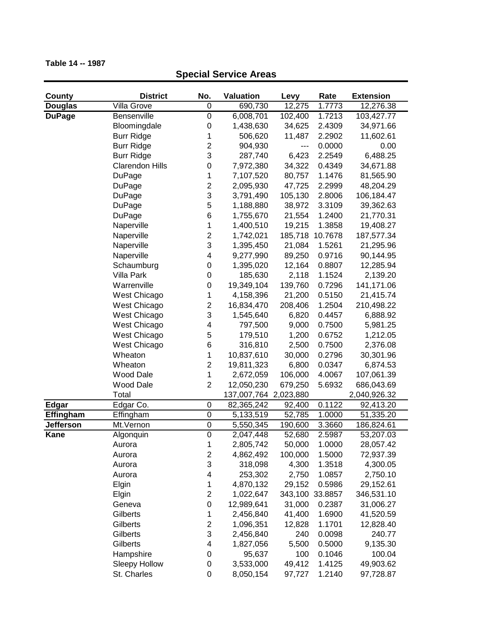| County           | <b>District</b>        | No.                     | <b>Valuation</b>      | Levy    | Rate            | <b>Extension</b> |
|------------------|------------------------|-------------------------|-----------------------|---------|-----------------|------------------|
| <b>Douglas</b>   | Villa Grove            | 0                       | 690,730               | 12,275  | 1.7773          | 12,276.38        |
| <b>DuPage</b>    | <b>Bensenville</b>     | $\boldsymbol{0}$        | 6,008,701             | 102,400 | 1.7213          | 103,427.77       |
|                  | Bloomingdale           | 0                       | 1,438,630             | 34,625  | 2.4309          | 34,971.66        |
|                  | <b>Burr Ridge</b>      | 1                       | 506,620               | 11,487  | 2.2902          | 11,602.61        |
|                  | <b>Burr Ridge</b>      | $\overline{\mathbf{c}}$ | 904,930               | ---     | 0.0000          | 0.00             |
|                  | <b>Burr Ridge</b>      | 3                       | 287,740               | 6,423   | 2.2549          | 6,488.25         |
|                  | <b>Clarendon Hills</b> | 0                       | 7,972,380             | 34,322  | 0.4349          | 34,671.88        |
|                  | DuPage                 | 1                       | 7,107,520             | 80,757  | 1.1476          | 81,565.90        |
|                  | <b>DuPage</b>          | $\overline{\mathbf{c}}$ | 2,095,930             | 47,725  | 2.2999          | 48,204.29        |
|                  | <b>DuPage</b>          | 3                       | 3,791,490             | 105,130 | 2.8006          | 106,184.47       |
|                  | <b>DuPage</b>          | 5                       | 1,188,880             | 38,972  | 3.3109          | 39,362.63        |
|                  | DuPage                 | 6                       | 1,755,670             | 21,554  | 1.2400          | 21,770.31        |
|                  | Naperville             | $\mathbf 1$             | 1,400,510             | 19,215  | 1.3858          | 19,408.27        |
|                  | Naperville             | $\overline{2}$          | 1,742,021             | 185,718 | 10.7678         | 187,577.34       |
|                  | Naperville             | 3                       | 1,395,450             | 21,084  | 1.5261          | 21,295.96        |
|                  | Naperville             | 4                       | 9,277,990             | 89,250  | 0.9716          | 90,144.95        |
|                  | Schaumburg             | 0                       | 1,395,020             | 12,164  | 0.8807          | 12,285.94        |
|                  | Villa Park             | 0                       | 185,630               | 2,118   | 1.1524          | 2,139.20         |
|                  | Warrenville            | 0                       | 19,349,104            | 139,760 | 0.7296          | 141,171.06       |
|                  | West Chicago           | 1                       | 4,158,396             | 21,200  | 0.5150          | 21,415.74        |
|                  | West Chicago           | $\overline{\mathbf{c}}$ | 16,834,470            | 208,406 | 1.2504          | 210,498.22       |
|                  | West Chicago           | 3                       | 1,545,640             | 6,820   | 0.4457          | 6,888.92         |
|                  | West Chicago           | 4                       | 797,500               | 9,000   | 0.7500          | 5,981.25         |
|                  | West Chicago           | 5                       | 179,510               | 1,200   | 0.6752          | 1,212.05         |
|                  | West Chicago           | 6                       | 316,810               | 2,500   | 0.7500          | 2,376.08         |
|                  | Wheaton                | 1                       | 10,837,610            | 30,000  | 0.2796          | 30,301.96        |
|                  | Wheaton                | $\overline{c}$          | 19,811,323            | 6,800   | 0.0347          | 6,874.53         |
|                  | Wood Dale              | 1                       | 2,672,059             | 106,000 | 4.0067          | 107,061.39       |
|                  | Wood Dale              | $\overline{c}$          | 12,050,230            | 679,250 | 5.6932          | 686,043.69       |
|                  | Total                  |                         | 137,007,764 2,023,880 |         |                 | 2,040,926.32     |
| <b>Edgar</b>     | Edgar Co.              | 0                       | 82,365,242            | 92,400  | 0.1122          | 92,413.20        |
| Effingham        | Effingham              | $\mathbf 0$             | 5,133,519             | 52,785  | 1.0000          | 51,335.20        |
| <b>Jefferson</b> | Mt.Vernon              | $\boldsymbol{0}$        | 5,550,345             | 190,600 | 3.3660          | 186,824.61       |
| <b>Kane</b>      | Algonquin              | $\mathbf 0$             | 2,047,448             | 52,680  | 2.5987          | 53,207.03        |
|                  | Aurora                 | 1                       | 2,805,742             | 50,000  | 1.0000          | 28,057.42        |
|                  | Aurora                 | 2                       | 4,862,492             | 100,000 | 1.5000          | 72,937.39        |
|                  | Aurora                 | 3                       | 318,098               | 4,300   | 1.3518          | 4,300.05         |
|                  | Aurora                 | 4                       | 253,302               | 2,750   | 1.0857          | 2,750.10         |
|                  | Elgin                  | 1                       | 4,870,132             | 29,152  | 0.5986          | 29,152.61        |
|                  | Elgin                  | $\overline{\mathbf{c}}$ | 1,022,647             |         | 343,100 33.8857 | 346,531.10       |
|                  | Geneva                 | 0                       | 12,989,641            | 31,000  | 0.2387          | 31,006.27        |
|                  | Gilberts               | 1                       | 2,456,840             | 41,400  | 1.6900          | 41,520.59        |
|                  | Gilberts               | $\overline{\mathbf{c}}$ | 1,096,351             | 12,828  | 1.1701          | 12,828.40        |
|                  | Gilberts               | 3                       | 2,456,840             | 240     | 0.0098          | 240.77           |
|                  | Gilberts               | 4                       | 1,827,056             | 5,500   | 0.5000          | 9,135.30         |
|                  | Hampshire              | $\boldsymbol{0}$        | 95,637                | 100     | 0.1046          | 100.04           |
|                  | <b>Sleepy Hollow</b>   | 0                       | 3,533,000             | 49,412  | 1.4125          | 49,903.62        |
|                  | St. Charles            | 0                       | 8,050,154             | 97,727  | 1.2140          | 97,728.87        |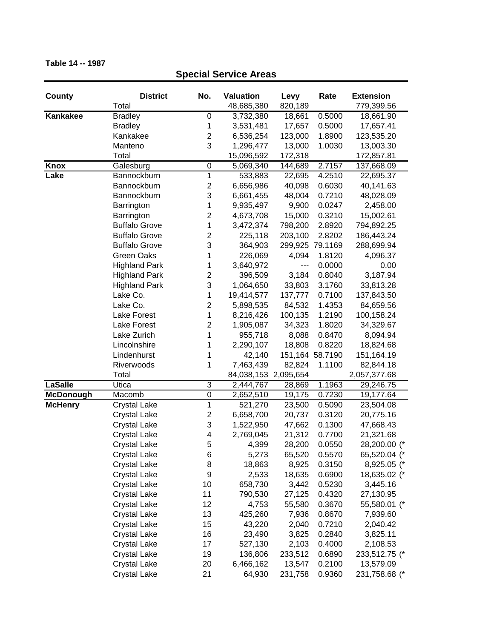## **County District No. Valuation Levy Rate Extension** Total 48,685,380 820,189 779,399.56 **Kankakee** Bradley 0 3,732,380 18,661 0.5000 18,661.90 Bradley 1 3,531,481 17,657 0.5000 17,657.41 Kankakee 2 6,536,254 123,000 1.8900 123,535.20 Manteno 3 1,296,477 13,000 1.0030 13,003.30 Total 15,096,592 172,318 172,857.81 **Knox** Galesburg 0 5,069,340 144,689 2.7157 137,668.09 **Lake** Bannockburn 1 533,883 22,695 4.2510 22,695.37 Bannockburn 2 6,656,986 40,098 0.6030 40,141.63 Bannockburn 3 6,661,455 48,004 0.7210 48,028.09 Barrington 1 9,935,497 9,900 0.0247 2,458.00 Barrington 2 4,673,708 15,000 0.3210 15,002.61 Buffalo Grove 1 3,472,374 798,200 2.8920 794,892.25 Buffalo Grove 2 225,118 203,100 2.8202 186,443.24 Buffalo Grove 3 364,903 299,925 79.1169 288,699.94 Green Oaks  $1$  226,069 4,094 1.8120 4,096.37 Highland Park 1 3,640,972 --- 0.0000 0.00 Highland Park 2 396,509 3,184 0.8040 3,187.94 Highland Park 3 1,064,650 33,803 3.1760 33,813.28 Lake Co. 2010 10:414,577 137,777 0.7100 137,843.50 Lake Co. 2 5,898,535 84,532 1.4353 84,659.56 Lake Forest 1 8,216,426 100,135 1.2190 100,158.24 Lake Forest 2 1,905,087 34,323 1.8020 34,329.67 Lake Zurich 1 955,718 8,088 0.8470 8,094.94 Lincolnshire 1 2,290,107 18,808 0.8220 18,824.68 Lindenhurst 1 42,140 151,164 58.7190 151,164.19 Riverwoods 1 7,463,439 82,824 1.1100 82,844.18 Total 84,038,153 2,095,654 2,057,377.68 **LaSalle** Utica 3 2,444,767 28,869 1.1963 29,246.75 **McDonough** Macomb 0 2,652,510 19,175 0.7230 19,177.64 **McHenry** Crystal Lake 1 521,270 23,500 0.5090 23,504.08 Crystal Lake 2 6,658,700 20,737 0.3120 20,775.16 Crystal Lake 3 1,522,950 47,662 0.1300 47,668.43 Crystal Lake 4 2,769,045 21,312 0.7700 21,321.68 Crystal Lake 5 4,399 28,200 0.0550 28,200.00 (\* Crystal Lake 6 5,273 65,520 0.5570 65,520.04 (\* Crystal Lake 8 18,863 8,925 0.3150 8,925.05 (\* Crystal Lake 9 2,533 18,635 0.6900 18,635.02 (\* Crystal Lake 10 658,730 3,442 0.5230 3,445.16 Crystal Lake 11 790,530 27,125 0.4320 27,130.95 Crystal Lake 12 4,753 55,580 0.3670 55,580.01 (\* Crystal Lake 13 425,260 7,936 0.8670 7,939.60 Crystal Lake 15 43,220 2,040 0.7210 2,040.42 Crystal Lake 16 23,490 3,825 0.2840 3,825.11

Crystal Lake 17 527,130 2,103 0.4000 2,108.53 Crystal Lake 19 136,806 233,512 0.6890 233,512.75 (\* Crystal Lake 20 6,466,162 13,547 0.2100 13,579.09 Crystal Lake 21 64,930 231,758 0.9360 231,758.68 (\*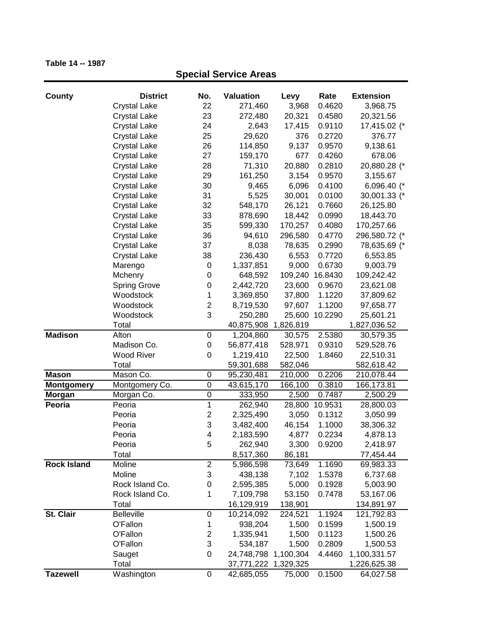## **County District No. Valuation Levy Rate Extension Special Service Areas** Crystal Lake 22 271,460 3,968 0.4620 3,968.75 Crystal Lake 23 272,480 20,321 0.4580 20,321.56 Crystal Lake 24 2,643 17,415 0.9110 17,415.02 (\* Crystal Lake 25 29,620 376 0.2720 376.77 Crystal Lake 26 114,850 9,137 0.9570 9,138.61 Crystal Lake 27 159,170 677 0.4260 678.06 Crystal Lake 28 71,310 20,880 0.2810 20,880.28 (\* Crystal Lake 29 161,250 3,154 0.9570 3,155.67 Crystal Lake 30 9,465 6,096 0.4100 6,096.40 (\* Crystal Lake 31 5,525 30,001 0.0100 30,001.33 (\* Crystal Lake 32 548,170 26,121 0.7660 26,125.80 Crystal Lake 33 878,690 18,442 0.0990 18,443.70 Crystal Lake 35 599,330 170,257 0.4080 170,257.66 Crystal Lake 36 94,610 296,580 0.4770 296,580.72 (\* Crystal Lake 37 8,038 78,635 0.2990 78,635.69 (\* Crystal Lake 38 236,430 6,553 0.7720 6,553.85 Marengo 0 1,337,851 9,000 0.6730 9,003.79 Mchenry 0 648,592 109,240 16.8430 109,242.42 Spring Grove 0 2,442,720 23,600 0.9670 23,621.08 Woodstock 1 3,369,850 37,800 1.1220 37,809.62 Woodstock 2 8,719,530 97,607 1.1200 97,658.77 Woodstock 3 250,280 25,600 10.2290 25,601.21 Total 40,875,908 1,826,819 1,827,036.52 **Madison** Alton 0 1,204,860 30,575 2.5380 30,579.35 Madison Co. 0 56,877,418 528,971 0.9310 529,528.76 Wood River 0 1,219,410 22,500 1.8460 22,510.31 Total 59,301,688 582,046 582,618.42 **Mason** Mason Co. 0 95,230,481 210,000 0.2206 210,078.44 **Montgomery** Montgomery Co. 0 43,615,170 166,100 0.3810 166,173.81 **Morgan** Morgan Co. 0 333,950 2,500 0.7487 2,500.29 **Peoria** Peoria 1 262,940 28,800 10.9531 28,800.03 Peoria 2 2,325,490 3,050 0.1312 3,050.99 Peoria 3 3,482,400 46,154 1.1000 38,306.32 Peoria 1 4 2,183,590 4,877 0.2234 4,878.13 Peoria 5 262,940 3,300 0.9200 2,418.97 Total 8,517,360 86,181 77,454.44 **Rock Island** Moline 2 5,986,598 73,649 1.1690 69,983.33 Moline 3 438,138 7,102 1.5378 6,737.68 Rock Island Co. 0 2,595,385 5,000 0.1928 5,003.90 Rock Island Co. 1 7,109,798 53,150 0.7478 53,167.06 Total 16,129,919 138,901 134,891.97 **St. Clair** Belleville 0 10,214,092 224,521 1.1924 121,792.83 O'Fallon 1 938,204 1,500 0.1599 1,500.19

O'Fallon 2 1,335,941 1,500 0.1123 1,500.26 O'Fallon 3 534,187 1,500 0.2809 1,500.53 Sauget 0 24,748,798 1,100,304 4.4460 1,100,331.57 Total 37,771,222 1,329,325 1,226,625.38

**Tazewell** Washington 0 42,685,055 75,000 0.1500 64,027.58